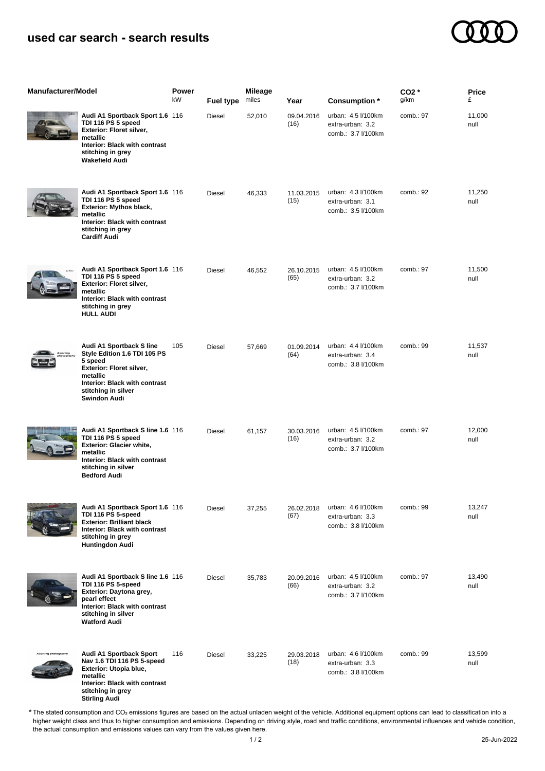## **used car search - search results**



| <b>Manufacturer/Model</b> |                                                                                                                                                                                            | <b>Power</b><br>kW | <b>Fuel type</b> | <b>Mileage</b><br>miles | Year               | Consumption *                                                | $CO2*$<br>g/km | Price<br>£     |
|---------------------------|--------------------------------------------------------------------------------------------------------------------------------------------------------------------------------------------|--------------------|------------------|-------------------------|--------------------|--------------------------------------------------------------|----------------|----------------|
|                           | Audi A1 Sportback Sport 1.6 116<br>TDI 116 PS 5 speed<br>Exterior: Floret silver,<br>metallic<br>Interior: Black with contrast<br>stitching in grey<br><b>Wakefield Audi</b>               |                    | <b>Diesel</b>    | 52,010                  | 09.04.2016<br>(16) | urban: 4.5 l/100km<br>extra-urban: 3.2<br>comb.: 3.7 l/100km | comb.: 97      | 11,000<br>null |
|                           | Audi A1 Sportback Sport 1.6 116<br>TDI 116 PS 5 speed<br><b>Exterior: Mythos black,</b><br>metallic<br>Interior: Black with contrast<br>stitching in grey<br><b>Cardiff Audi</b>           |                    | Diesel           | 46,333                  | 11.03.2015<br>(15) | urban: 4.3 l/100km<br>extra-urban: 3.1<br>comb.: 3.5 l/100km | comb.: 92      | 11,250<br>null |
|                           | Audi A1 Sportback Sport 1.6 116<br>TDI 116 PS 5 speed<br>Exterior: Floret silver,<br>metallic<br>Interior: Black with contrast<br>stitching in grey<br><b>HULL AUDI</b>                    |                    | <b>Diesel</b>    | 46,552                  | 26.10.2015<br>(65) | urban: 4.5 l/100km<br>extra-urban: 3.2<br>comb.: 3.7 l/100km | comb.: 97      | 11,500<br>null |
|                           | Audi A1 Sportback S line<br>Style Edition 1.6 TDI 105 PS<br>5 speed<br>Exterior: Floret silver,<br>metallic<br>Interior: Black with contrast<br>stitching in silver<br><b>Swindon Audi</b> | 105                | <b>Diesel</b>    | 57,669                  | 01.09.2014<br>(64) | urban: 4.4 l/100km<br>extra-urban: 3.4<br>comb.: 3.8 l/100km | comb.: 99      | 11,537<br>null |
|                           | Audi A1 Sportback S line 1.6 116<br>TDI 116 PS 5 speed<br>Exterior: Glacier white,<br>metallic<br>Interior: Black with contrast<br>stitching in silver<br><b>Bedford Audi</b>              |                    | Diesel           | 61,157                  | 30.03.2016<br>(16) | urban: 4.5 l/100km<br>extra-urban: 3.2<br>comb.: 3.7 l/100km | comb.: 97      | 12,000<br>null |
|                           | Audi A1 Sportback Sport 1.6 116<br>TDI 116 PS 5-speed<br><b>Exterior: Brilliant black</b><br>Interior: Black with contrast<br>stitching in grey<br>Huntingdon Audi                         |                    | Diesel           | 37,255                  | 26.02.2018<br>(67) | urban: 4.6 l/100km<br>extra-urban: 3.3<br>comb.: 3.8 l/100km | comb.: 99      | 13,247<br>null |
|                           | Audi A1 Sportback S line 1.6 116<br>TDI 116 PS 5-speed<br>Exterior: Daytona grey,<br>pearl effect<br>Interior: Black with contrast<br>stitching in silver<br><b>Watford Audi</b>           |                    | Diesel           | 35,783                  | 20.09.2016<br>(66) | urban: 4.5 l/100km<br>extra-urban: 3.2<br>comb.: 3.7 l/100km | comb.: 97      | 13,490<br>null |
| ting photograph           | Audi A1 Sportback Sport<br>Nav 1.6 TDI 116 PS 5-speed<br>Exterior: Utopia blue,<br>metallic<br>Interior: Black with contrast<br>stitching in arov                                          | 116                | Diesel           | 33,225                  | 29.03.2018<br>(18) | urban: 4.6 l/100km<br>extra-urban: 3.3<br>comb.: 3.8 l/100km | comb.: 99      | 13,599<br>null |

**stitching in grey Stirling Audi**

The stated consumption and CO₂ emissions figures are based on the actual unladen weight of the vehicle. Additional equipment options can lead to classification into a higher weight class and thus to higher consumption and emissions. Depending on driving style, road and traffic conditions, environmental influences and vehicle condition, the actual consumption and emissions values can vary from the values given here. \*